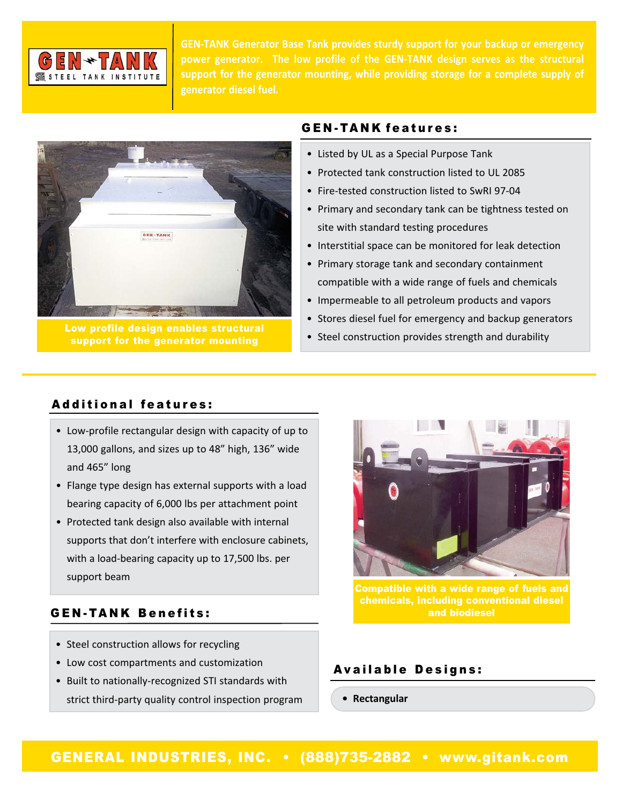

**GEN‐TANK Generator Base Tank provides sturdy support for your backup or emergency power generator. The low profile of the GEN‐TANK design serves as the structural support for the generator mounting, while providing storage for a complete supply of generator diesel fuel.**



Low profile design enables structural support for the generator mounting

### GEN-TANK features:

- Listed by UL as a Special Purpose Tank
- Protected tank construction listed to UL 2085
- Fire‐tested construction listed to SwRI 97‐04
- Primary and secondary tank can be tightness tested on site with standard testing procedures
- Interstitial space can be monitored for leak detection
- Primary storage tank and secondary containment compatible with a wide range of fuels and chemicals
- Impermeable to all petroleum products and vapors
- Stores diesel fuel for emergency and backup generators
- Steel construction provides strength and durability

### Additional features:

- Low‐profile rectangular design with capacity of up to 13,000 gallons, and sizes up to 48" high, 136" wide and 465" long
- Flange type design has external supports with a load bearing capacity of 6,000 lbs per attachment point
- Protected tank design also available with internal supports that don't interfere with enclosure cabinets, with a load‐bearing capacity up to 17,500 lbs. per support beam

# GEN-TANK Benefits:

- Steel construction allows for recycling
- Low cost compartments and customization
- Built to nationally‐recognized STI standards with strict third‐party quality control inspection program



Compatible with a wide range of fuels and chemicals, including conventional diesel and biodiesel

# Available Designs:

**• Rectangular**